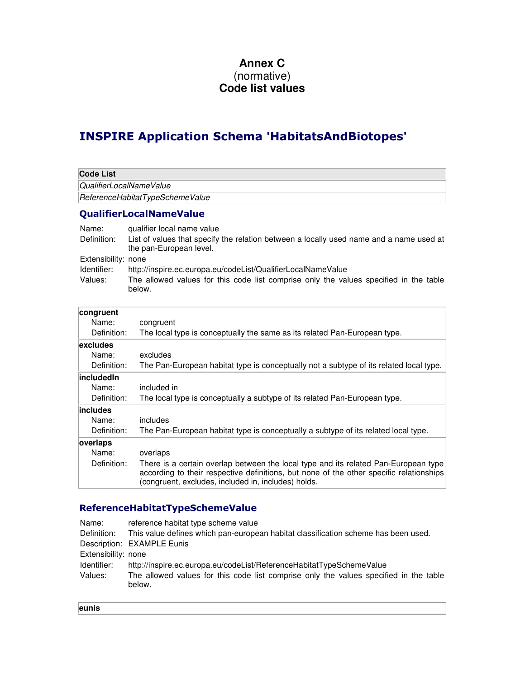## **Annex C**  (normative) **Code list values**

## INSPIRE Application Schema 'HabitatsAndBiotopes'

| <b>Code List</b>                |                                                                                                                                                                                                                                       |  |  |  |
|---------------------------------|---------------------------------------------------------------------------------------------------------------------------------------------------------------------------------------------------------------------------------------|--|--|--|
| QualifierLocalNameValue         |                                                                                                                                                                                                                                       |  |  |  |
| ReferenceHabitatTypeSchemeValue |                                                                                                                                                                                                                                       |  |  |  |
|                                 | <b>QualifierLocalNameValue</b>                                                                                                                                                                                                        |  |  |  |
| Name:                           | qualifier local name value                                                                                                                                                                                                            |  |  |  |
| Definition:                     | List of values that specify the relation between a locally used name and a name used at<br>the pan-European level.                                                                                                                    |  |  |  |
| Extensibility: none             |                                                                                                                                                                                                                                       |  |  |  |
| Identifier:                     | http://inspire.ec.europa.eu/codeList/QualifierLocalNameValue                                                                                                                                                                          |  |  |  |
| Values:                         | The allowed values for this code list comprise only the values specified in the table<br>below.                                                                                                                                       |  |  |  |
| congruent                       |                                                                                                                                                                                                                                       |  |  |  |
| Name:                           | congruent                                                                                                                                                                                                                             |  |  |  |
| Definition:                     | The local type is conceptually the same as its related Pan-European type.                                                                                                                                                             |  |  |  |
| excludes                        |                                                                                                                                                                                                                                       |  |  |  |
| Name:                           | excludes                                                                                                                                                                                                                              |  |  |  |
| Definition:                     | The Pan-European habitat type is conceptually not a subtype of its related local type.                                                                                                                                                |  |  |  |
| includedIn                      |                                                                                                                                                                                                                                       |  |  |  |
| Name:<br>Definition:            | included in                                                                                                                                                                                                                           |  |  |  |
|                                 | The local type is conceptually a subtype of its related Pan-European type.                                                                                                                                                            |  |  |  |
| includes<br>Name:               | includes                                                                                                                                                                                                                              |  |  |  |
| Definition:                     | The Pan-European habitat type is conceptually a subtype of its related local type.                                                                                                                                                    |  |  |  |
|                                 |                                                                                                                                                                                                                                       |  |  |  |
| overlaps<br>Name:               | overlaps                                                                                                                                                                                                                              |  |  |  |
| Definition:                     | There is a certain overlap between the local type and its related Pan-European type<br>according to their respective definitions, but none of the other specific relationships<br>(congruent, excludes, included in, includes) holds. |  |  |  |

## ReferenceHabitatTypeSchemeValue

| Name:               | reference habitat type scheme value                                                             |
|---------------------|-------------------------------------------------------------------------------------------------|
| Definition:         | This value defines which pan-european habitat classification scheme has been used.              |
|                     | Description: EXAMPLE Eunis                                                                      |
| Extensibility: none |                                                                                                 |
| Identifier:         | http://inspire.ec.europa.eu/codeList/ReferenceHabitatTypeSchemeValue                            |
| Values:             | The allowed values for this code list comprise only the values specified in the table<br>below. |

| w<br>٧<br>. .<br>۹<br>× |
|-------------------------|
|                         |